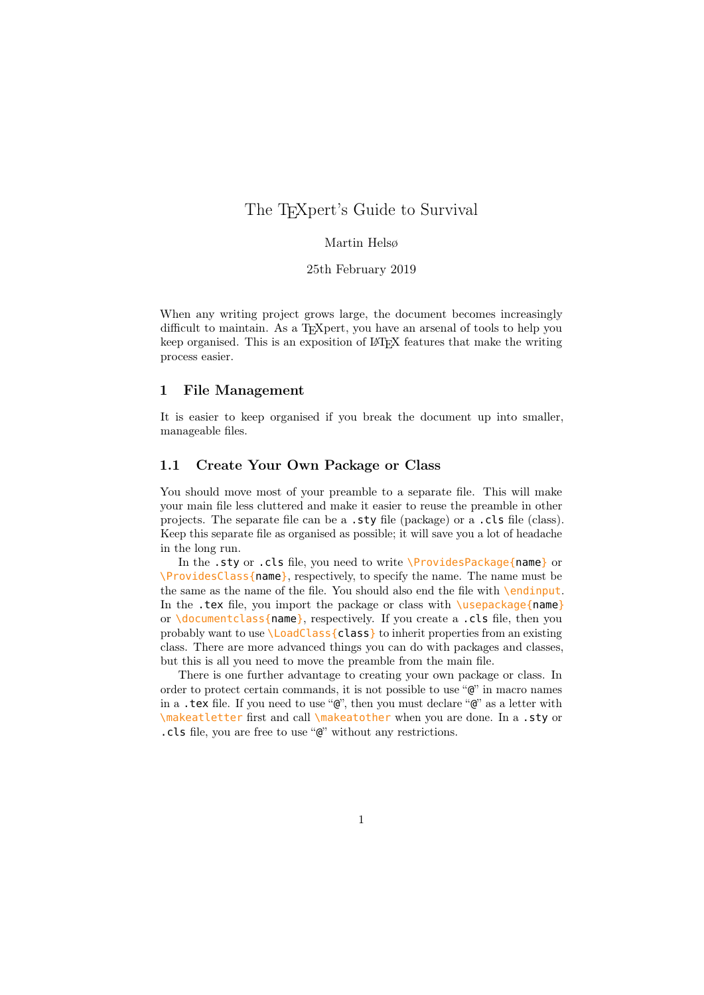# The T<sub>E</sub>Xpert's Guide to Survival

# Martin Helsø

### 25th February 2019

When any writing project grows large, the document becomes increasingly difficult to maintain. As a T<sub>E</sub>Xpert, you have an arsenal of tools to help you keep organised. This is an exposition of LATEX features that make the writing process easier.

### 1 File Management

It is easier to keep organised if you break the document up into smaller, manageable files.

# 1.1 Create Your Own Package or Class

You should move most of your preamble to a separate file. This will make your main file less cluttered and make it easier to reuse the preamble in other projects. The separate file can be a .sty file (package) or a .cls file (class). Keep this separate file as organised as possible; it will save you a lot of headache in the long run.

In the .sty or .cls file, you need to write \ProvidesPackage{name} or \ProvidesClass{name}, respectively, to specify the name. The name must be the same as the name of the file. You should also end the file with \endinput. In the .tex file, you import the package or class with  $\langle$ usepackage{name} or \documentclass{name}, respectively. If you create a .cls file, then you probably want to use \LoadClass{class} to inherit properties from an existing class. There are more advanced things you can do with packages and classes, but this is all you need to move the preamble from the main file.

There is one further advantage to creating your own package or class. In order to protect certain commands, it is not possible to use "@" in macro names in a .tex file. If you need to use " $\mathbb{Q}$ ", then you must declare " $\mathbb{Q}$ " as a letter with \makeatletter first and call \makeatother when you are done. In a .sty or .cls file, you are free to use "@" without any restrictions.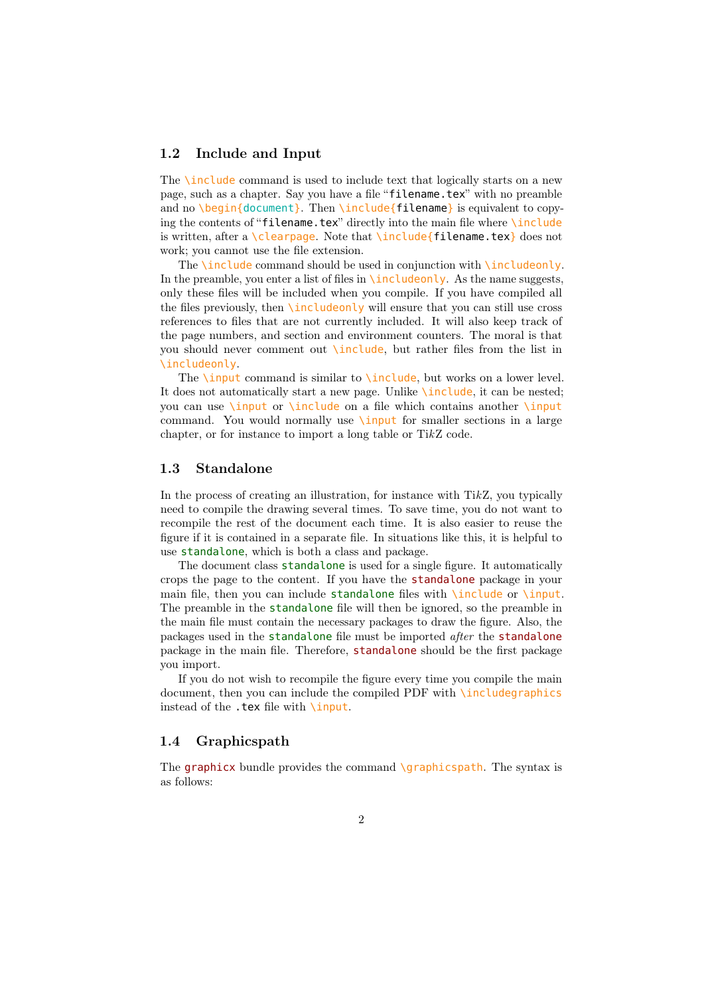### 1.2 Include and Input

The \include command is used to include text that logically starts on a new page, such as a chapter. Say you have a file "filename.tex" with no preamble and no \begin{document}. Then \include{filename} is equivalent to copying the contents of "filename.tex" directly into the main file where \include is written, after a \clearpage. Note that \include{filename.tex} does not work; you cannot use the file extension.

The **\include** command should be used in conjunction with **\includeonly**. In the preamble, you enter a list of files in  $\int$ includeonly. As the name suggests, only these files will be included when you compile. If you have compiled all the files previously, then \includeonly will ensure that you can still use cross references to files that are not currently included. It will also keep track of the page numbers, and section and environment counters. The moral is that you should never comment out \include, but rather files from the list in \includeonly.

The **\input** command is similar to **\include**, but works on a lower level. It does not automatically start a new page. Unlike \include, it can be nested; you can use \input or \include on a file which contains another \input command. You would normally use  $\infty$  for smaller sections in a large chapter, or for instance to import a long table or TikZ code.

### 1.3 Standalone

In the process of creating an illustration, for instance with TikZ, you typically need to compile the drawing several times. To save time, you do not want to recompile the rest of the document each time. It is also easier to reuse the figure if it is contained in a separate file. In situations like this, it is helpful to use standalone, which is both a class and package.

The document class standalone is used for a single figure. It automatically crops the page to the content. If you have the standalone package in your main file, then you can include standalone files with  $\infty$  or  $\infty$ . The preamble in the standalone file will then be ignored, so the preamble in the main file must contain the necessary packages to draw the figure. Also, the packages used in the standalone file must be imported after the standalone package in the main file. Therefore, standalone should be the first package you import.

If you do not wish to recompile the figure every time you compile the main document, then you can include the compiled PDF with \includegraphics instead of the .tex file with \input.

### 1.4 Graphicspath

The graphicx bundle provides the command  $\qquad$ graphicspath. The syntax is as follows: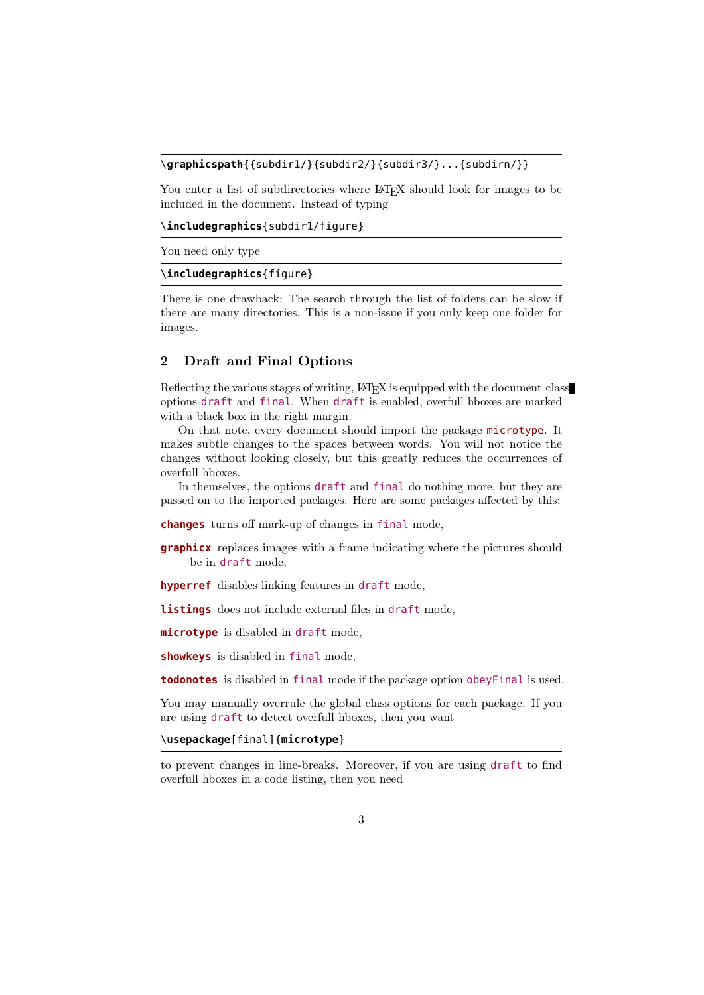### \**graphicspath**{{subdir1/}{subdir2/}{subdir3/}...{subdirn/}}

You enter a list of subdirectories where LAT<sub>EX</sub> should look for images to be included in the document. Instead of typing

\**includegraphics**{subdir1/figure}

You need only type

#### \**includegraphics**{figure}

There is one drawback: The search through the list of folders can be slow if there are many directories. This is a non-issue if you only keep one folder for images.

### 2 Draft and Final Options

Reflecting the various stages of writing, LAT<sub>EX</sub> is equipped with the document class options draft and final. When draft is enabled, overfull hboxes are marked with a black box in the right margin.

On that note, every document should import the package microtype. It makes subtle changes to the spaces between words. You will not notice the changes without looking closely, but this greatly reduces the occurrences of overfull hboxes.

In themselves, the options draft and final do nothing more, but they are passed on to the imported packages. Here are some packages affected by this:

**changes** turns off mark-up of changes in final mode,

**graphicx** replaces images with a frame indicating where the pictures should be in draft mode,

**hyperref** disables linking features in draft mode,

**listings** does not include external files in draft mode,

**microtype** is disabled in draft mode,

**showkeys** is disabled in final mode,

**todonotes** is disabled in final mode if the package option obeyFinal is used.

You may manually overrule the global class options for each package. If you are using draft to detect overfull hboxes, then you want

### \**usepackage**[final]{**microtype**}

to prevent changes in line-breaks. Moreover, if you are using draft to find overfull hboxes in a code listing, then you need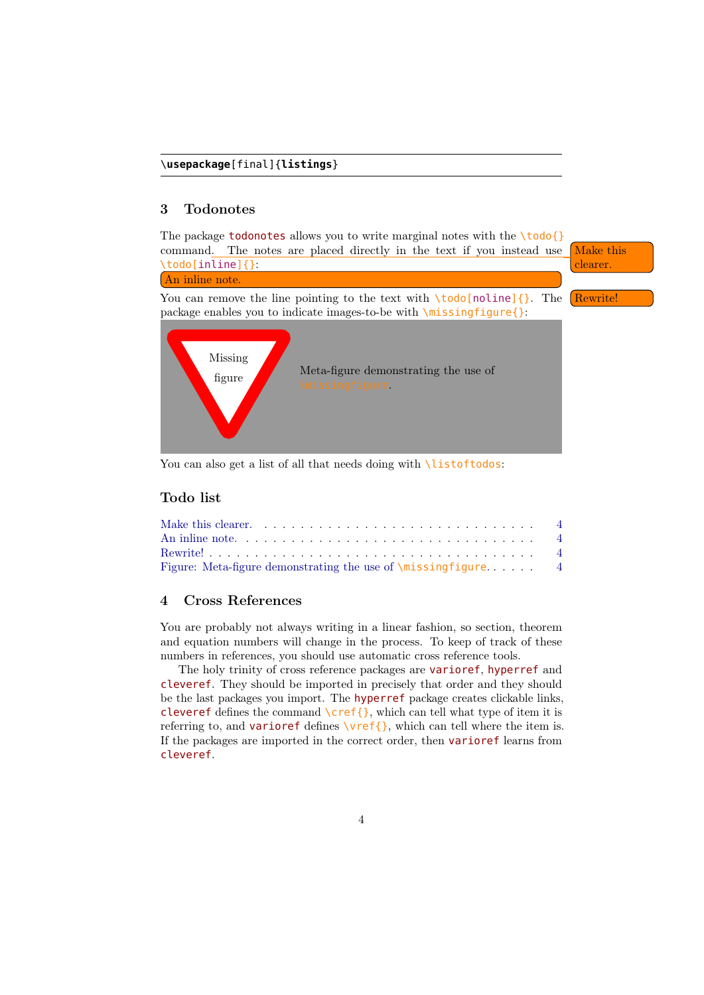### 3 Todonotes

<span id="page-3-1"></span><span id="page-3-0"></span>The package **todonotes** allows you to write marginal notes with the  $\text{todof}$ command. The notes are placed directly in the text if you instead use  $\sqrt{\frac{\text{Make this}}{\text{Make this}}}$ \todo[inline]{}: clearer. An inline note.

<span id="page-3-2"></span>You can remove the line pointing to the text with  $\cdot$  todo[noline]{}. The Rewrite! package enables you to indicate images-to-be with \missingfigure{}:



You can also get a list of all that needs doing with *listoftodos*:

# Todo list

| Make this clearer. $\ldots \ldots \ldots \ldots \ldots \ldots \ldots \ldots \ldots \ldots$ |  |  |  |  |
|--------------------------------------------------------------------------------------------|--|--|--|--|
|                                                                                            |  |  |  |  |
|                                                                                            |  |  |  |  |
|                                                                                            |  |  |  |  |

# 4 Cross References

You are probably not always writing in a linear fashion, so section, theorem and equation numbers will change in the process. To keep of track of these numbers in references, you should use automatic cross reference tools.

The holy trinity of cross reference packages are varioref, hyperref and cleveref. They should be imported in precisely that order and they should be the last packages you import. The hyperref package creates clickable links, cleveref defines the command  $\cref{\}$ , which can tell what type of item it is referring to, and **varioref** defines  $\vert \text{vref} \vert$ , which can tell where the item is. If the packages are imported in the correct order, then varioref learns from cleveref.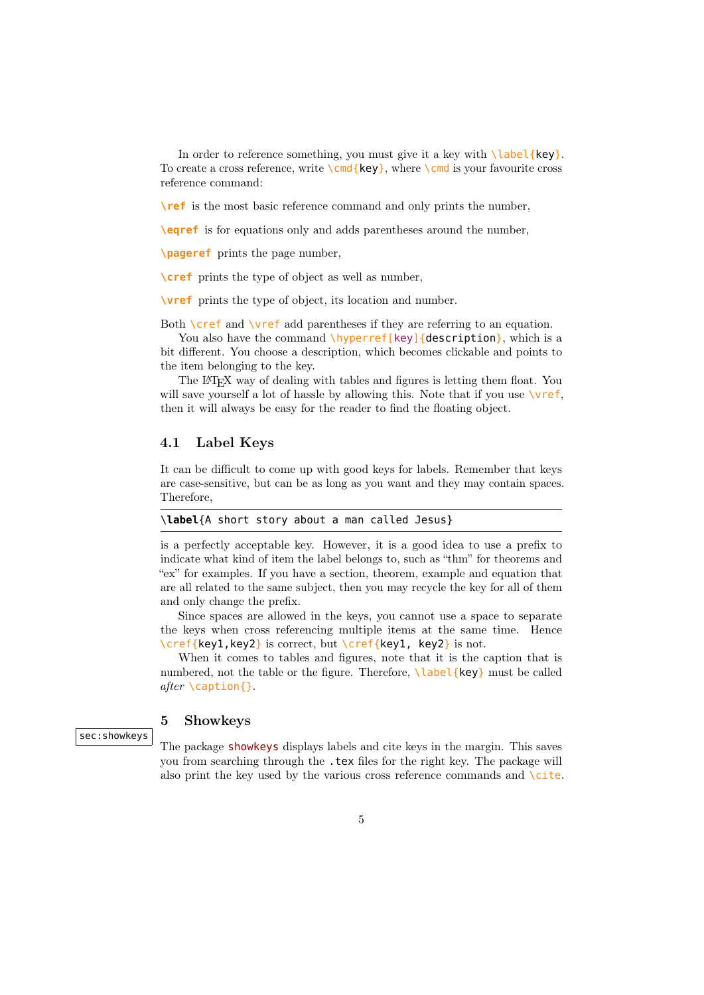In order to reference something, you must give it a key with  $\lambda$ label{key}. To create a cross reference, write  $\{\text{key}\}$ , where  $\{\text{cmd is your favorite cross}$ reference command:

**\ref** is the most basic reference command and only prints the number,

**\eqref** is for equations only and adds parentheses around the number,

**\pageref** prints the page number,

**\cref** prints the type of object as well as number,

**\vref** prints the type of object, its location and number.

Both  $\c{ref}$  and  $\verb|\vref|$  and parentheses if they are referring to an equation.

You also have the command  $\hbar y$   $\text{perref}$  [key] {description}, which is a bit different. You choose a description, which becomes clickable and points to the item belonging to the key.

The LATEX way of dealing with tables and figures is letting them float. You will save yourself a lot of hassle by allowing this. Note that if you use  $\sqrt{v}$ ref, then it will always be easy for the reader to find the floating object.

### 4.1 Label Keys

It can be difficult to come up with good keys for labels. Remember that keys are case-sensitive, but can be as long as you want and they may contain spaces. Therefore,

|--|

is a perfectly acceptable key. However, it is a good idea to use a prefix to indicate what kind of item the label belongs to, such as "thm" for theorems and "ex" for examples. If you have a section, theorem, example and equation that are all related to the same subject, then you may recycle the key for all of them and only change the prefix.

Since spaces are allowed in the keys, you cannot use a space to separate the keys when cross referencing multiple items at the same time. Hence \cref{key1,key2} is correct, but \cref{key1, key2} is not.

When it comes to tables and figures, note that it is the caption that is numbered, not the table or the figure. Therefore, **\label{key}** must be called after \caption{}.

### 5 Showkeys

sec:showkeys

The package showkeys displays labels and cite keys in the margin. This saves you from searching through the .tex files for the right key. The package will also print the key used by the various cross reference commands and  $\setminus$ cite.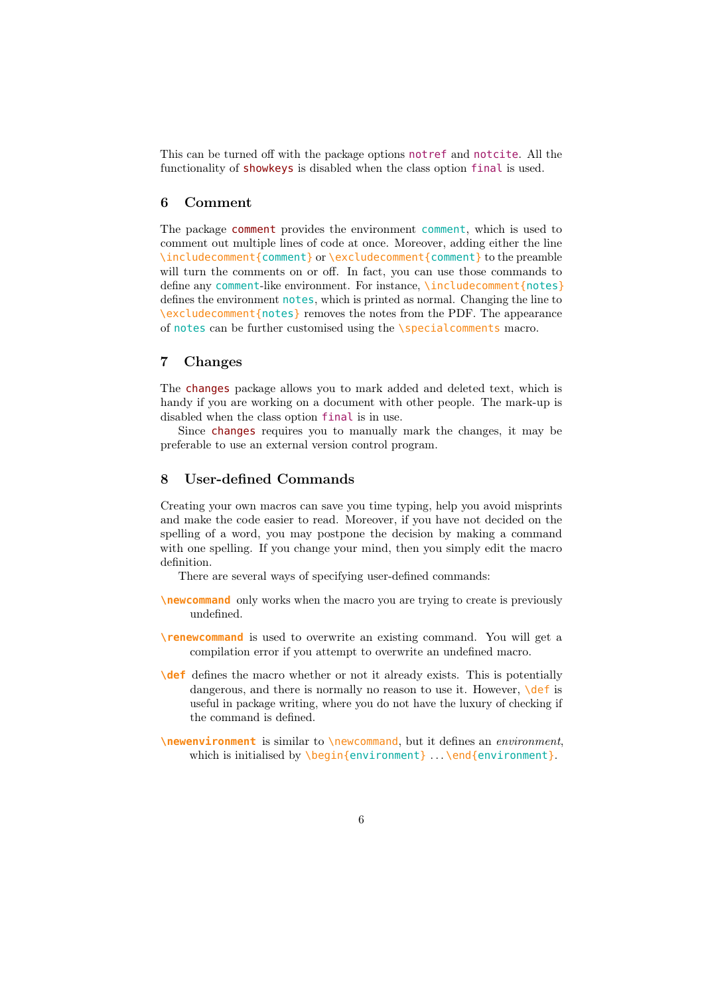This can be turned off with the package options notref and notcite. All the functionality of showkeys is disabled when the class option final is used.

### 6 Comment

The package comment provides the environment comment, which is used to comment out multiple lines of code at once. Moreover, adding either the line \includecomment{comment} or \excludecomment{comment} to the preamble will turn the comments on or off. In fact, you can use those commands to define any comment-like environment. For instance, \includecomment{notes} defines the environment notes, which is printed as normal. Changing the line to \excludecomment{notes} removes the notes from the PDF. The appearance of notes can be further customised using the \specialcomments macro.

### 7 Changes

The changes package allows you to mark added and deleted text, which is handy if you are working on a document with other people. The mark-up is disabled when the class option final is in use.

Since changes requires you to manually mark the changes, it may be preferable to use an external version control program.

# 8 User-defined Commands

Creating your own macros can save you time typing, help you avoid misprints and make the code easier to read. Moreover, if you have not decided on the spelling of a word, you may postpone the decision by making a command with one spelling. If you change your mind, then you simply edit the macro definition.

There are several ways of specifying user-defined commands:

- **\newcommand** only works when the macro you are trying to create is previously undefined.
- **\renewcommand** is used to overwrite an existing command. You will get a compilation error if you attempt to overwrite an undefined macro.
- **\def** defines the macro whether or not it already exists. This is potentially dangerous, and there is normally no reason to use it. However,  $\det$  is useful in package writing, where you do not have the luxury of checking if the command is defined.
- **\newenvironment** is similar to \newcommand, but it defines an environment, which is initialised by  $\begin{equation} \begin{bmatrix} \text{empty } \end{bmatrix}$ ...  $\end{equation}$  ...  $\end{equation}$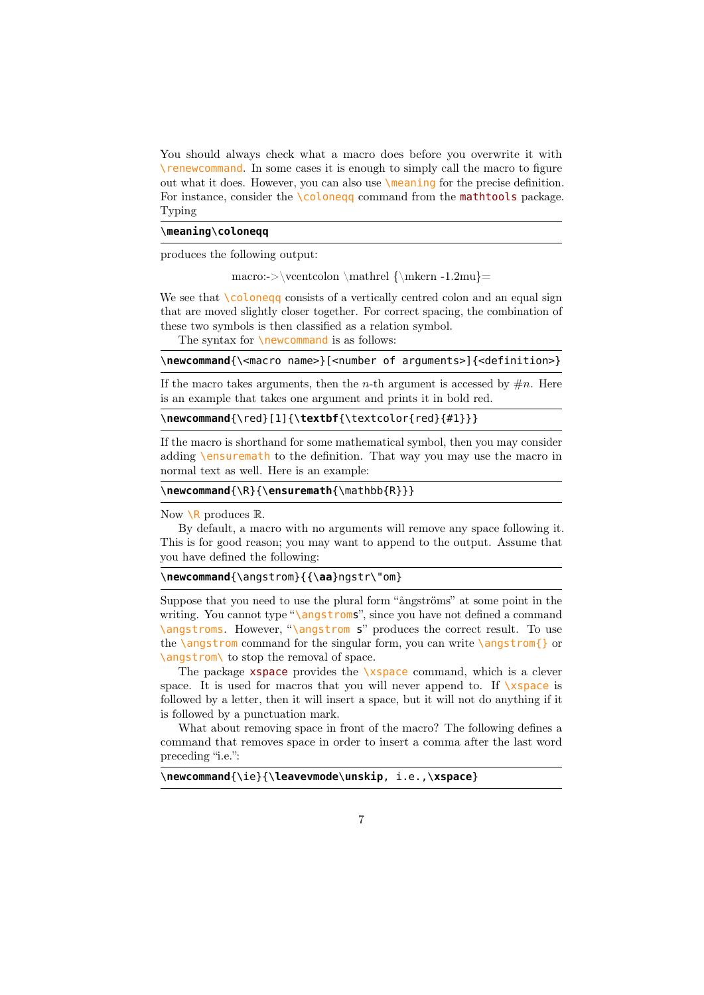You should always check what a macro does before you overwrite it with \renewcommand. In some cases it is enough to simply call the macro to figure out what it does. However, you can also use \meaning for the precise definition. For instance, consider the \coloneqq command from the mathtools package. Typing

### \**meaning**\**coloneqq**

produces the following output:

macro:->\vcentcolon \mathrel  ${\m{where 1.2mu}$ =

We see that  $\text{Coloneqq}$  consists of a vertically centred colon and an equal sign that are moved slightly closer together. For correct spacing, the combination of these two symbols is then classified as a relation symbol.

The syntax for **\newcommand** is as follows:

### \newcommand{\<macro name>}[<number of arguments>]{<definition>}

If the macro takes arguments, then the *n*-th argument is accessed by  $\#n$ . Here is an example that takes one argument and prints it in bold red.

## \**newcommand**{\red}[1]{\**textbf**{\textcolor{red}{#1}}}

If the macro is shorthand for some mathematical symbol, then you may consider adding \ensuremath to the definition. That way you may use the macro in normal text as well. Here is an example:

```
\newcommand{\R}{\ensuremath{\mathbb{R}}}
```
Now  $\setminus$ R produces  $\mathbb{R}$ .

By default, a macro with no arguments will remove any space following it. This is for good reason; you may want to append to the output. Assume that you have defined the following:

```
\newcommand{\angstrom}{{\aa}ngstr\"om}
```
Suppose that you need to use the plural form "ångströms" at some point in the writing. You cannot type " $\angl{angstroms}$ ", since you have not defined a command \angstroms. However, "\angstrom s" produces the correct result. To use the \angstrom command for the singular form, you can write \angstrom{} or \angstrom\ to stop the removal of space.

The package  $xspace$  provides the  $xspace$  command, which is a clever space. It is used for macros that you will never append to. If  $\x$ space is followed by a letter, then it will insert a space, but it will not do anything if it is followed by a punctuation mark.

What about removing space in front of the macro? The following defines a command that removes space in order to insert a comma after the last word preceding "i.e.":

### \**newcommand**{\ie}{\**leavevmode**\**unskip**, i.e.,\**xspace**}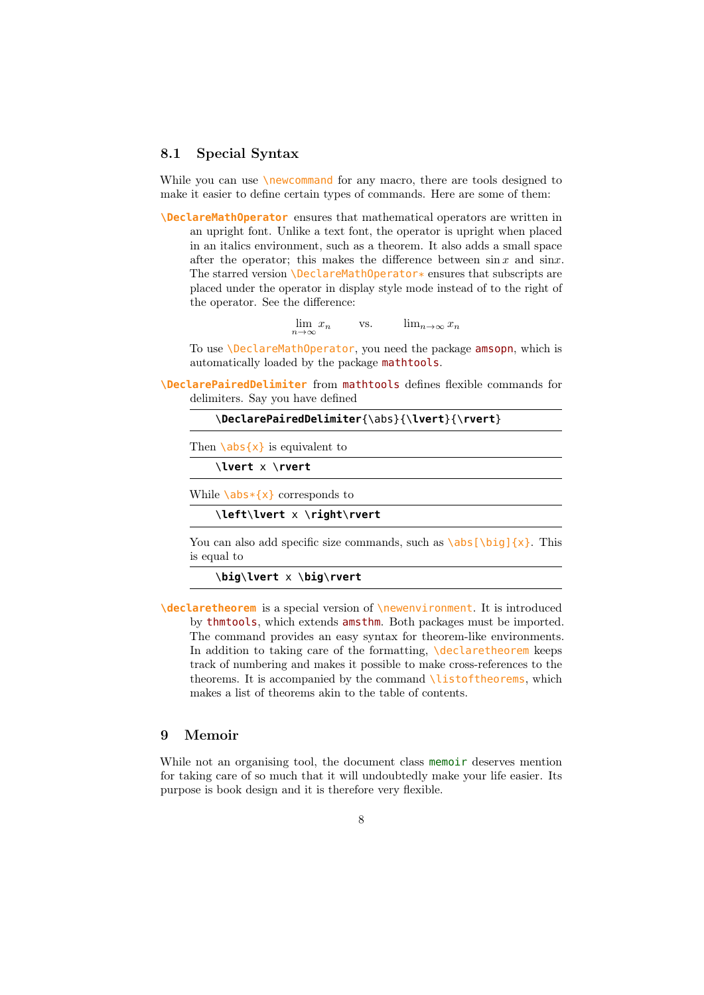# 8.1 Special Syntax

While you can use **\newcommand** for any macro, there are tools designed to make it easier to define certain types of commands. Here are some of them:

**\DeclareMathOperator** ensures that mathematical operators are written in an upright font. Unlike a text font, the operator is upright when placed in an italics environment, such as a theorem. It also adds a small space after the operator; this makes the difference between  $\sin x$  and  $\sin x$ . The starred version  $\Delta$ DeclareMathOperator\* ensures that subscripts are placed under the operator in display style mode instead of to the right of the operator. See the difference:

> $\lim_{n\to\infty}x_n$ vs.  $\lim_{n\to\infty}x_n$

To use \DeclareMathOperator, you need the package amsopn, which is automatically loaded by the package mathtools.

**\DeclarePairedDelimiter** from mathtools defines flexible commands for delimiters. Say you have defined

```
\DeclarePairedDelimiter{\abs}{\lvert}{\rvert}
```
Then  $\{\alpha\}$  is equivalent to

\**lvert** x \**rvert**

While  $\{a\}$  corresponds to

\**left**\**lvert** x \**right**\**rvert**

You can also add specific size commands, such as  $\abs[\big{big]{x}$ . This is equal to

\**big**\**lvert** x \**big**\**rvert**

**\declaretheorem** is a special version of \newenvironment. It is introduced by thmtools, which extends amsthm. Both packages must be imported. The command provides an easy syntax for theorem-like environments. In addition to taking care of the formatting, *declaretheorem* keeps track of numbering and makes it possible to make cross-references to the theorems. It is accompanied by the command *listoftheorems*, which makes a list of theorems akin to the table of contents.

### 9 Memoir

While not an organising tool, the document class memoir deserves mention for taking care of so much that it will undoubtedly make your life easier. Its purpose is book design and it is therefore very flexible.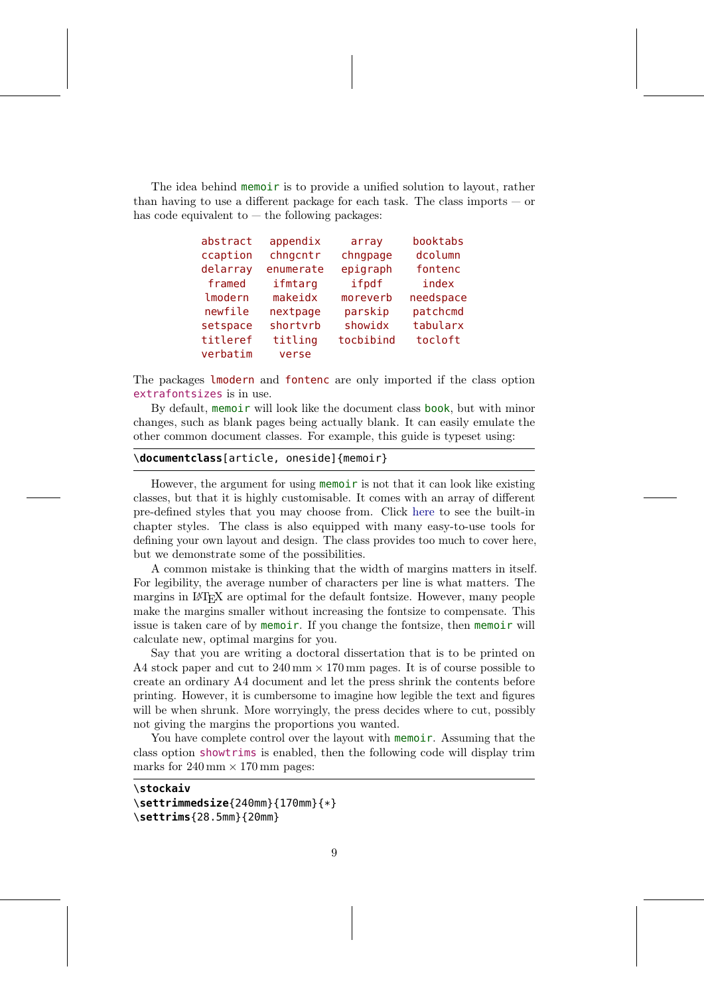The idea behind memoir is to provide a unified solution to layout, rather than having to use a different package for each task. The class imports  $-$  or has code equivalent to  $-$  the following packages:

| abstract<br>appendix |           | array     | booktabs  |
|----------------------|-----------|-----------|-----------|
| ccaption             | chngcntr  | chngpage  | dcolumn   |
| delarray             | enumerate | epigraph  | fontenc   |
| framed               | ifmtarg   | ifpdf     | index     |
| lmodern              | makeidx   | moreverb  | needspace |
| newfile              | nextpage  | parskip   | patchcmd  |
| setspace             | shortvrb  | showidx   | tabularx  |
| titleref             | titling   | tocbibind | tocloft   |
| verbatim             | verse     |           |           |

The packages lmodern and fontenc are only imported if the class option extrafontsizes is in use.

By default, memoir will look like the document class book, but with minor changes, such as blank pages being actually blank. It can easily emulate the other common document classes. For example, this guide is typeset using:

### \**documentclass**[article, oneside]{memoir}

However, the argument for using memoir is not that it can look like existing classes, but that it is highly customisable. It comes with an array of different pre-defined styles that you may choose from. Click [here](http://ctan.uib.no/info/latex-samples/MemoirChapStyles/MemoirChapStyles.pdf) to see the built-in chapter styles. The class is also equipped with many easy-to-use tools for defining your own layout and design. The class provides too much to cover here, but we demonstrate some of the possibilities.

A common mistake is thinking that the width of margins matters in itself. For legibility, the average number of characters per line is what matters. The margins in LATEX are optimal for the default fontsize. However, many people make the margins smaller without increasing the fontsize to compensate. This issue is taken care of by memoir. If you change the fontsize, then memoir will calculate new, optimal margins for you.

Say that you are writing a doctoral dissertation that is to be printed on A4 stock paper and cut to  $240 \text{ mm} \times 170 \text{ mm}$  pages. It is of course possible to create an ordinary A4 document and let the press shrink the contents before printing. However, it is cumbersome to imagine how legible the text and figures will be when shrunk. More worryingly, the press decides where to cut, possibly not giving the margins the proportions you wanted.

You have complete control over the layout with memoir. Assuming that the class option showtrims is enabled, then the following code will display trim marks for  $240 \,\mathrm{mm} \times 170 \,\mathrm{mm}$  pages:

\**stockaiv**

```
\settrimmedsize{240mm}{170mm}{*}
\settrims{28.5mm}{20mm}
```